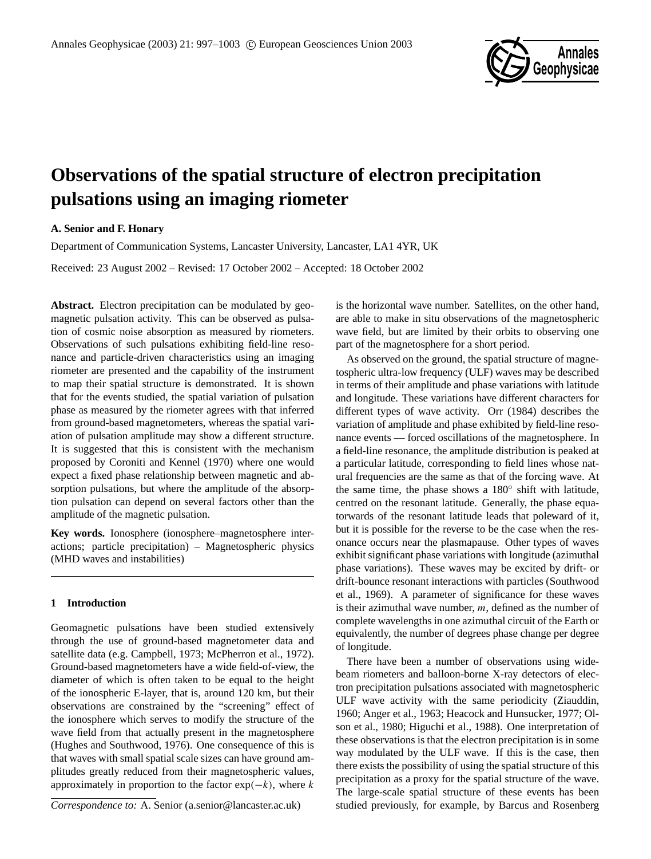

# **Observations of the spatial structure of electron precipitation pulsations using an imaging riometer**

# **A. Senior and F. Honary**

Department of Communication Systems, Lancaster University, Lancaster, LA1 4YR, UK

Received: 23 August 2002 – Revised: 17 October 2002 – Accepted: 18 October 2002

**Abstract.** Electron precipitation can be modulated by geomagnetic pulsation activity. This can be observed as pulsation of cosmic noise absorption as measured by riometers. Observations of such pulsations exhibiting field-line resonance and particle-driven characteristics using an imaging riometer are presented and the capability of the instrument to map their spatial structure is demonstrated. It is shown that for the events studied, the spatial variation of pulsation phase as measured by the riometer agrees with that inferred from ground-based magnetometers, whereas the spatial variation of pulsation amplitude may show a different structure. It is suggested that this is consistent with the mechanism proposed by Coroniti and Kennel (1970) where one would expect a fixed phase relationship between magnetic and absorption pulsations, but where the amplitude of the absorption pulsation can depend on several factors other than the amplitude of the magnetic pulsation.

**Key words.** Ionosphere (ionosphere–magnetosphere interactions; particle precipitation) – Magnetospheric physics (MHD waves and instabilities)

## **1 Introduction**

Geomagnetic pulsations have been studied extensively through the use of ground-based magnetometer data and satellite data (e.g. Campbell, 1973; McPherron et al., 1972). Ground-based magnetometers have a wide field-of-view, the diameter of which is often taken to be equal to the height of the ionospheric E-layer, that is, around 120 km, but their observations are constrained by the "screening" effect of the ionosphere which serves to modify the structure of the wave field from that actually present in the magnetosphere (Hughes and Southwood, 1976). One consequence of this is that waves with small spatial scale sizes can have ground amplitudes greatly reduced from their magnetospheric values, approximately in proportion to the factor  $exp(-k)$ , where k

*Correspondence to:* A. Senior (a.senior@lancaster.ac.uk)

is the horizontal wave number. Satellites, on the other hand, are able to make in situ observations of the magnetospheric wave field, but are limited by their orbits to observing one part of the magnetosphere for a short period.

As observed on the ground, the spatial structure of magnetospheric ultra-low frequency (ULF) waves may be described in terms of their amplitude and phase variations with latitude and longitude. These variations have different characters for different types of wave activity. Orr (1984) describes the variation of amplitude and phase exhibited by field-line resonance events — forced oscillations of the magnetosphere. In a field-line resonance, the amplitude distribution is peaked at a particular latitude, corresponding to field lines whose natural frequencies are the same as that of the forcing wave. At the same time, the phase shows a 180◦ shift with latitude, centred on the resonant latitude. Generally, the phase equatorwards of the resonant latitude leads that poleward of it, but it is possible for the reverse to be the case when the resonance occurs near the plasmapause. Other types of waves exhibit significant phase variations with longitude (azimuthal phase variations). These waves may be excited by drift- or drift-bounce resonant interactions with particles (Southwood et al., 1969). A parameter of significance for these waves is their azimuthal wave number,  $m$ , defined as the number of complete wavelengths in one azimuthal circuit of the Earth or equivalently, the number of degrees phase change per degree of longitude.

There have been a number of observations using widebeam riometers and balloon-borne X-ray detectors of electron precipitation pulsations associated with magnetospheric ULF wave activity with the same periodicity (Ziauddin, 1960; Anger et al., 1963; Heacock and Hunsucker, 1977; Olson et al., 1980; Higuchi et al., 1988). One interpretation of these observations is that the electron precipitation is in some way modulated by the ULF wave. If this is the case, then there exists the possibility of using the spatial structure of this precipitation as a proxy for the spatial structure of the wave. The large-scale spatial structure of these events has been studied previously, for example, by Barcus and Rosenberg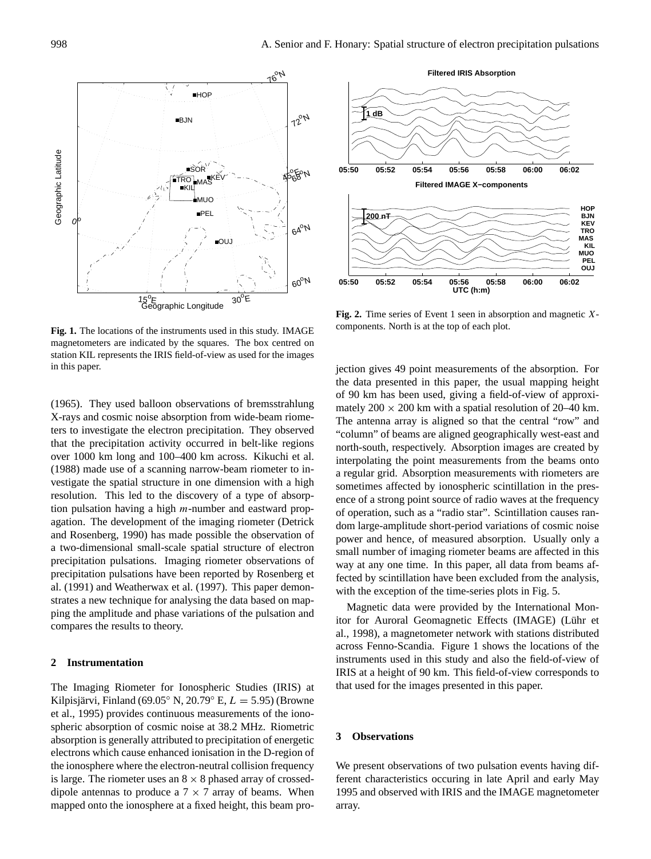

**Fig. 1.** The locations of the instruments used in this study. IMAGE magnetometers are indicated by the squares. The box centred on station KIL represents the IRIS field-of-view as used for the images in this paper.

(1965). They used balloon observations of bremsstrahlung X-rays and cosmic noise absorption from wide-beam riometers to investigate the electron precipitation. They observed that the precipitation activity occurred in belt-like regions over 1000 km long and 100–400 km across. Kikuchi et al. (1988) made use of a scanning narrow-beam riometer to investigate the spatial structure in one dimension with a high resolution. This led to the discovery of a type of absorption pulsation having a high  $m$ -number and eastward propagation. The development of the imaging riometer (Detrick and Rosenberg, 1990) has made possible the observation of a two-dimensional small-scale spatial structure of electron precipitation pulsations. Imaging riometer observations of precipitation pulsations have been reported by Rosenberg et al. (1991) and Weatherwax et al. (1997). This paper demonstrates a new technique for analysing the data based on mapping the amplitude and phase variations of the pulsation and compares the results to theory.

#### **2 Instrumentation**

The Imaging Riometer for Ionospheric Studies (IRIS) at Kilpisjärvi, Finland (69.05° N, 20.79° E,  $L = 5.95$ ) (Browne et al., 1995) provides continuous measurements of the ionospheric absorption of cosmic noise at 38.2 MHz. Riometric absorption is generally attributed to precipitation of energetic electrons which cause enhanced ionisation in the D-region of the ionosphere where the electron-neutral collision frequency is large. The riometer uses an  $8 \times 8$  phased array of crosseddipole antennas to produce a  $7 \times 7$  array of beams. When mapped onto the ionosphere at a fixed height, this beam pro-



**Fig. 2.** Time series of Event 1 seen in absorption and magnetic Xcomponents. North is at the top of each plot.

jection gives 49 point measurements of the absorption. For the data presented in this paper, the usual mapping height of 90 km has been used, giving a field-of-view of approximately  $200 \times 200$  km with a spatial resolution of  $20-40$  km. The antenna array is aligned so that the central "row" and "column" of beams are aligned geographically west-east and north-south, respectively. Absorption images are created by interpolating the point measurements from the beams onto a regular grid. Absorption measurements with riometers are sometimes affected by ionospheric scintillation in the presence of a strong point source of radio waves at the frequency of operation, such as a "radio star". Scintillation causes random large-amplitude short-period variations of cosmic noise power and hence, of measured absorption. Usually only a small number of imaging riometer beams are affected in this way at any one time. In this paper, all data from beams affected by scintillation have been excluded from the analysis, with the exception of the time-series plots in Fig. 5.

Magnetic data were provided by the International Monitor for Auroral Geomagnetic Effects (IMAGE) (Lühr et al., 1998), a magnetometer network with stations distributed across Fenno-Scandia. Figure 1 shows the locations of the instruments used in this study and also the field-of-view of IRIS at a height of 90 km. This field-of-view corresponds to that used for the images presented in this paper.

## **3 Observations**

We present observations of two pulsation events having different characteristics occuring in late April and early May 1995 and observed with IRIS and the IMAGE magnetometer array.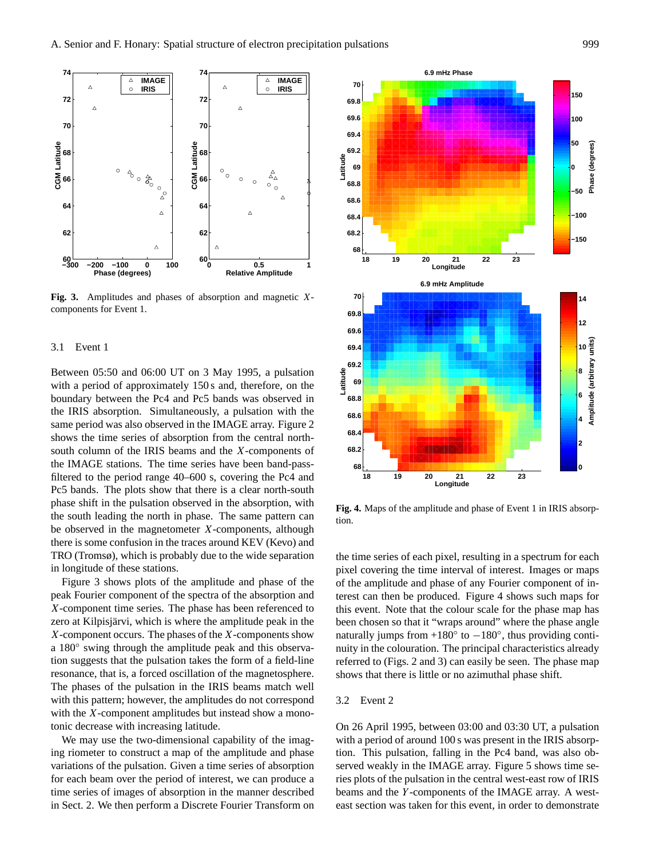

**Fig. 3.** Amplitudes and phases of absorption and magnetic Xcomponents for Event 1.

#### 3.1 Event 1

Between 05:50 and 06:00 UT on 3 May 1995, a pulsation with a period of approximately 150 s and, therefore, on the boundary between the Pc4 and Pc5 bands was observed in the IRIS absorption. Simultaneously, a pulsation with the same period was also observed in the IMAGE array. Figure 2 shows the time series of absorption from the central northsouth column of the IRIS beams and the X-components of the IMAGE stations. The time series have been band-passfiltered to the period range 40–600 s, covering the Pc4 and Pc5 bands. The plots show that there is a clear north-south phase shift in the pulsation observed in the absorption, with the south leading the north in phase. The same pattern can be observed in the magnetometer X-components, although there is some confusion in the traces around KEV (Kevo) and TRO (Tromsø), which is probably due to the wide separation in longitude of these stations.

Figure 3 shows plots of the amplitude and phase of the peak Fourier component of the spectra of the absorption and X-component time series. The phase has been referenced to zero at Kilpisjärvi, which is where the amplitude peak in the X-component occurs. The phases of the X-components show a 180◦ swing through the amplitude peak and this observation suggests that the pulsation takes the form of a field-line resonance, that is, a forced oscillation of the magnetosphere. The phases of the pulsation in the IRIS beams match well with this pattern; however, the amplitudes do not correspond with the X-component amplitudes but instead show a monotonic decrease with increasing latitude.

We may use the two-dimensional capability of the imaging riometer to construct a map of the amplitude and phase variations of the pulsation. Given a time series of absorption for each beam over the period of interest, we can produce a time series of images of absorption in the manner described in Sect. 2. We then perform a Discrete Fourier Transform on



**Fig. 4.** Maps of the amplitude and phase of Event 1 in IRIS absorption.

the time series of each pixel, resulting in a spectrum for each pixel covering the time interval of interest. Images or maps of the amplitude and phase of any Fourier component of interest can then be produced. Figure 4 shows such maps for this event. Note that the colour scale for the phase map has been chosen so that it "wraps around" where the phase angle naturally jumps from  $+180^\circ$  to  $-180^\circ$ , thus providing continuity in the colouration. The principal characteristics already referred to (Figs. 2 and 3) can easily be seen. The phase map shows that there is little or no azimuthal phase shift.

## 3.2 Event 2

On 26 April 1995, between 03:00 and 03:30 UT, a pulsation with a period of around 100 s was present in the IRIS absorption. This pulsation, falling in the Pc4 band, was also observed weakly in the IMAGE array. Figure 5 shows time series plots of the pulsation in the central west-east row of IRIS beams and the Y -components of the IMAGE array. A westeast section was taken for this event, in order to demonstrate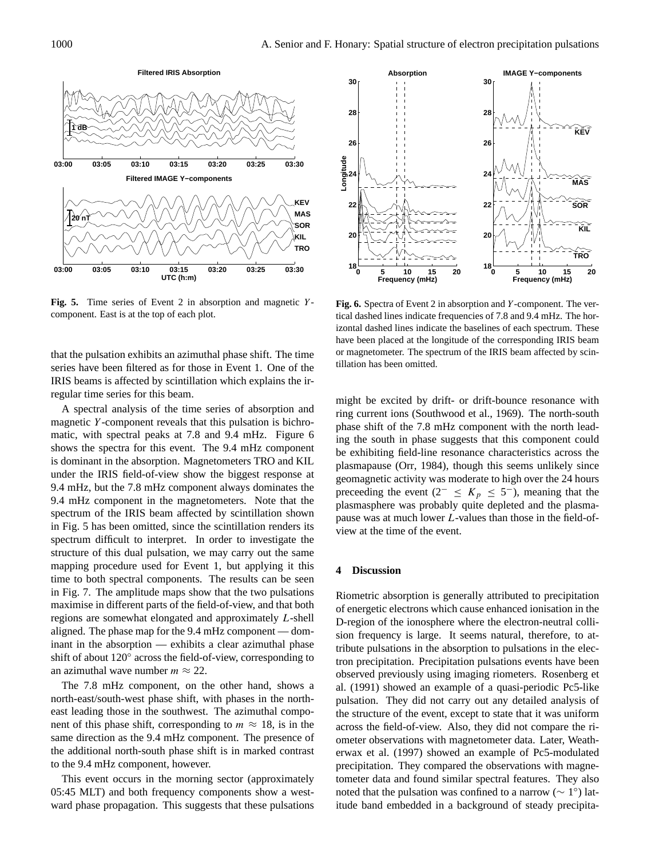

Fig. 5. Time series of Event 2 in absorption and magnetic Ycomponent. East is at the top of each plot.

that the pulsation exhibits an azimuthal phase shift. The time series have been filtered as for those in Event 1. One of the IRIS beams is affected by scintillation which explains the irregular time series for this beam.

A spectral analysis of the time series of absorption and magnetic Y-component reveals that this pulsation is bichromatic, with spectral peaks at 7.8 and 9.4 mHz. Figure 6 shows the spectra for this event. The 9.4 mHz component is dominant in the absorption. Magnetometers TRO and KIL under the IRIS field-of-view show the biggest response at 9.4 mHz, but the 7.8 mHz component always dominates the 9.4 mHz component in the magnetometers. Note that the spectrum of the IRIS beam affected by scintillation shown in Fig. 5 has been omitted, since the scintillation renders its spectrum difficult to interpret. In order to investigate the structure of this dual pulsation, we may carry out the same mapping procedure used for Event 1, but applying it this time to both spectral components. The results can be seen in Fig. 7. The amplitude maps show that the two pulsations maximise in different parts of the field-of-view, and that both regions are somewhat elongated and approximately L-shell aligned. The phase map for the 9.4 mHz component — dominant in the absorption — exhibits a clear azimuthal phase shift of about 120° across the field-of-view, corresponding to an azimuthal wave number  $m \approx 22$ .

The 7.8 mHz component, on the other hand, shows a north-east/south-west phase shift, with phases in the northeast leading those in the southwest. The azimuthal component of this phase shift, corresponding to  $m \approx 18$ , is in the same direction as the 9.4 mHz component. The presence of the additional north-south phase shift is in marked contrast to the 9.4 mHz component, however.

This event occurs in the morning sector (approximately 05:45 MLT) and both frequency components show a westward phase propagation. This suggests that these pulsations



**Fig. 6.** Spectra of Event 2 in absorption and Y -component. The vertical dashed lines indicate frequencies of 7.8 and 9.4 mHz. The horizontal dashed lines indicate the baselines of each spectrum. These have been placed at the longitude of the corresponding IRIS beam or magnetometer. The spectrum of the IRIS beam affected by scintillation has been omitted.

might be excited by drift- or drift-bounce resonance with ring current ions (Southwood et al., 1969). The north-south phase shift of the 7.8 mHz component with the north leading the south in phase suggests that this component could be exhibiting field-line resonance characteristics across the plasmapause (Orr, 1984), though this seems unlikely since geomagnetic activity was moderate to high over the 24 hours preceeding the event (2<sup>-</sup> ≤  $K_p$  ≤ 5<sup>-</sup>), meaning that the plasmasphere was probably quite depleted and the plasmapause was at much lower L-values than those in the field-ofview at the time of the event.

#### **4 Discussion**

Riometric absorption is generally attributed to precipitation of energetic electrons which cause enhanced ionisation in the D-region of the ionosphere where the electron-neutral collision frequency is large. It seems natural, therefore, to attribute pulsations in the absorption to pulsations in the electron precipitation. Precipitation pulsations events have been observed previously using imaging riometers. Rosenberg et al. (1991) showed an example of a quasi-periodic Pc5-like pulsation. They did not carry out any detailed analysis of the structure of the event, except to state that it was uniform across the field-of-view. Also, they did not compare the riometer observations with magnetometer data. Later, Weatherwax et al. (1997) showed an example of Pc5-modulated precipitation. They compared the observations with magnetometer data and found similar spectral features. They also noted that the pulsation was confined to a narrow ( $\sim 1^{\circ}$ ) latitude band embedded in a background of steady precipita-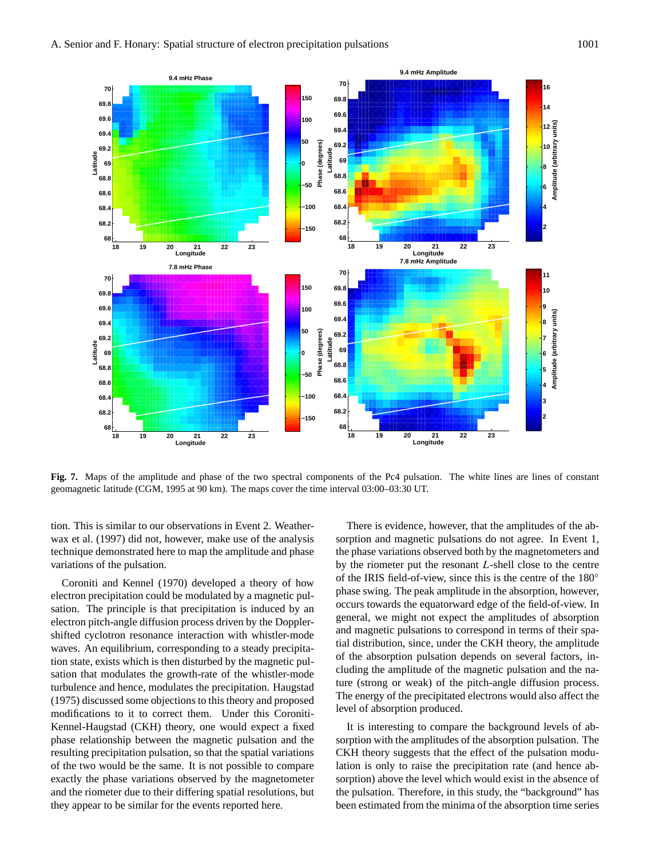

**Fig. 7.** Maps of the amplitude and phase of the two spectral components of the Pc4 pulsation. The white lines are lines of constant geomagnetic latitude (CGM, 1995 at 90 km). The maps cover the time interval 03:00–03:30 UT.

tion. This is similar to our observations in Event 2. Weatherwax et al. (1997) did not, however, make use of the analysis technique demonstrated here to map the amplitude and phase variations of the pulsation.

Coroniti and Kennel (1970) developed a theory of how electron precipitation could be modulated by a magnetic pulsation. The principle is that precipitation is induced by an electron pitch-angle diffusion process driven by the Dopplershifted cyclotron resonance interaction with whistler-mode waves. An equilibrium, corresponding to a steady precipitation state, exists which is then disturbed by the magnetic pulsation that modulates the growth-rate of the whistler-mode turbulence and hence, modulates the precipitation. Haugstad (1975) discussed some objections to this theory and proposed modifications to it to correct them. Under this Coroniti-Kennel-Haugstad (CKH) theory, one would expect a fixed phase relationship between the magnetic pulsation and the resulting precipitation pulsation, so that the spatial variations of the two would be the same. It is not possible to compare exactly the phase variations observed by the magnetometer and the riometer due to their differing spatial resolutions, but they appear to be similar for the events reported here.

There is evidence, however, that the amplitudes of the absorption and magnetic pulsations do not agree. In Event 1, the phase variations observed both by the magnetometers and by the riometer put the resonant L-shell close to the centre of the IRIS field-of-view, since this is the centre of the 180◦ phase swing. The peak amplitude in the absorption, however, occurs towards the equatorward edge of the field-of-view. In general, we might not expect the amplitudes of absorption and magnetic pulsations to correspond in terms of their spatial distribution, since, under the CKH theory, the amplitude of the absorption pulsation depends on several factors, including the amplitude of the magnetic pulsation and the nature (strong or weak) of the pitch-angle diffusion process. The energy of the precipitated electrons would also affect the level of absorption produced.

It is interesting to compare the background levels of absorption with the amplitudes of the absorption pulsation. The CKH theory suggests that the effect of the pulsation modulation is only to raise the precipitation rate (and hence absorption) above the level which would exist in the absence of the pulsation. Therefore, in this study, the "background" has been estimated from the minima of the absorption time series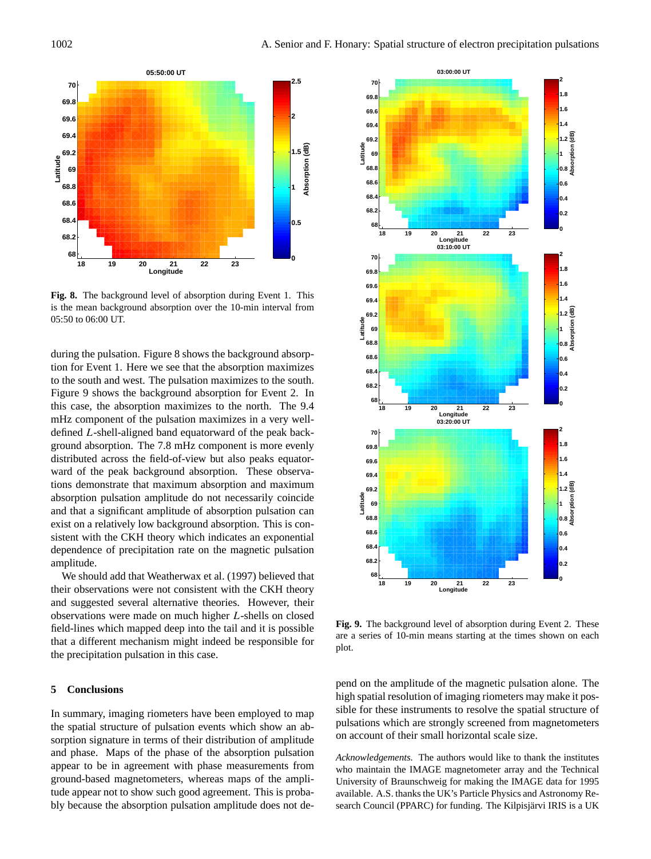

**Fig. 8.** The background level of absorption during Event 1. This is the mean background absorption over the 10-min interval from 05:50 to 06:00 UT.

during the pulsation. Figure 8 shows the background absorption for Event 1. Here we see that the absorption maximizes to the south and west. The pulsation maximizes to the south. Figure 9 shows the background absorption for Event 2. In this case, the absorption maximizes to the north. The 9.4 mHz component of the pulsation maximizes in a very welldefined L-shell-aligned band equatorward of the peak background absorption. The 7.8 mHz component is more evenly distributed across the field-of-view but also peaks equatorward of the peak background absorption. These observations demonstrate that maximum absorption and maximum absorption pulsation amplitude do not necessarily coincide and that a significant amplitude of absorption pulsation can exist on a relatively low background absorption. This is consistent with the CKH theory which indicates an exponential dependence of precipitation rate on the magnetic pulsation amplitude.

We should add that Weatherwax et al. (1997) believed that their observations were not consistent with the CKH theory and suggested several alternative theories. However, their observations were made on much higher L-shells on closed field-lines which mapped deep into the tail and it is possible that a different mechanism might indeed be responsible for the precipitation pulsation in this case.

## **5 Conclusions**

In summary, imaging riometers have been employed to map the spatial structure of pulsation events which show an absorption signature in terms of their distribution of amplitude and phase. Maps of the phase of the absorption pulsation appear to be in agreement with phase measurements from ground-based magnetometers, whereas maps of the amplitude appear not to show such good agreement. This is probably because the absorption pulsation amplitude does not de-



**Fig. 9.** The background level of absorption during Event 2. These are a series of 10-min means starting at the times shown on each plot.

pend on the amplitude of the magnetic pulsation alone. The high spatial resolution of imaging riometers may make it possible for these instruments to resolve the spatial structure of pulsations which are strongly screened from magnetometers on account of their small horizontal scale size.

*Acknowledgements.* The authors would like to thank the institutes who maintain the IMAGE magnetometer array and the Technical University of Braunschweig for making the IMAGE data for 1995 available. A.S. thanks the UK's Particle Physics and Astronomy Research Council (PPARC) for funding. The Kilpisjärvi IRIS is a UK